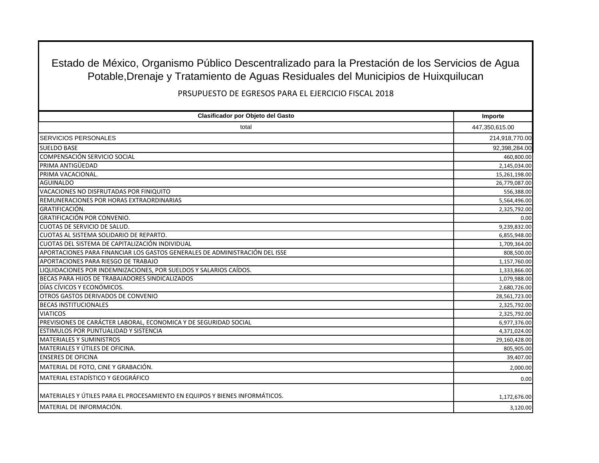Estado de México, Organismo Público Descentralizado para la Prestación de los Servicios de Agua Potable,Drenaje y Tratamiento de Aguas Residuales del Municipios de Huixquilucan

PRSUPUESTO DE EGRESOS PARA EL EJERCICIO FISCAL 2018

| Clasificador por Objeto del Gasto                                           | Importe        |
|-----------------------------------------------------------------------------|----------------|
| total                                                                       | 447,350,615.00 |
| <b>SERVICIOS PERSONALES</b>                                                 | 214,918,770.00 |
| <b>SUELDO BASE</b>                                                          | 92,398,284.00  |
| COMPENSACIÓN SERVICIO SOCIAL                                                | 460,800.00     |
| PRIMA ANTIGÜEDAD                                                            | 2,145,034.00   |
| PRIMA VACACIONAL.                                                           | 15,261,198.00  |
| <b>AGUINALDO</b>                                                            | 26,779,087.00  |
| VACACIONES NO DISFRUTADAS POR FINIQUITO                                     | 556,388.00     |
| REMUNERACIONES POR HORAS EXTRAORDINARIAS                                    | 5,564,496.00   |
| <b>GRATIFICACIÓN.</b>                                                       | 2,325,792.00   |
| <b>GRATIFICACIÓN POR CONVENIO.</b>                                          | 0.00           |
| <b>CUOTAS DE SERVICIO DE SALUD.</b>                                         | 9,239,832.00   |
| CUOTAS AL SISTEMA SOLIDARIO DE REPARTO.                                     | 6,855,948.00   |
| CUOTAS DEL SISTEMA DE CAPITALIZACIÓN INDIVIDUAL                             | 1,709,364.00   |
| APORTACIONES PARA FINANCIAR LOS GASTOS GENERALES DE ADMINISTRACIÓN DEL ISSE | 808,500.00     |
| APORTACIONES PARA RIESGO DE TRABAJO                                         | 1,157,760.00   |
| LIQUIDACIONES POR INDEMNIZACIONES, POR SUELDOS Y SALARIOS CAÍDOS.           | 1,333,866.00   |
| BECAS PARA HIJOS DE TRABAJADORES SINDICALIZADOS                             | 1,079,988.00   |
| DÍAS CÍVICOS Y ECONÓMICOS.                                                  | 2,680,726.00   |
| OTROS GASTOS DERIVADOS DE CONVENIO                                          | 28,561,723.00  |
| <b>BECAS INSTITUCIONALES</b>                                                | 2,325,792.00   |
| <b>VIATICOS</b>                                                             | 2,325,792.00   |
| PREVISIONES DE CARÁCTER LABORAL, ECONOMICA Y DE SEGURIDAD SOCIAL            | 6,977,376.00   |
| <b>ESTIMULOS POR PUNTUALIDAD Y SISTENCIA</b>                                | 4,371,024.00   |
| <b>MATERIALES Y SUMINISTROS</b>                                             | 29,160,428.00  |
| MATERIALES Y ÚTILES DE OFICINA.                                             | 805,905.00     |
| <b>ENSERES DE OFICINA</b>                                                   | 39,407.00      |
| MATERIAL DE FOTO, CINE Y GRABACIÓN.                                         | 2,000.00       |
| MATERIAL ESTADÍSTICO Y GEOGRÁFICO                                           | 0.00           |
| MATERIALES Y ÚTILES PARA EL PROCESAMIENTO EN EQUIPOS Y BIENES INFORMÁTICOS. | 1,172,676.00   |
| MATERIAL DE INFORMACIÓN.                                                    | 3,120.00       |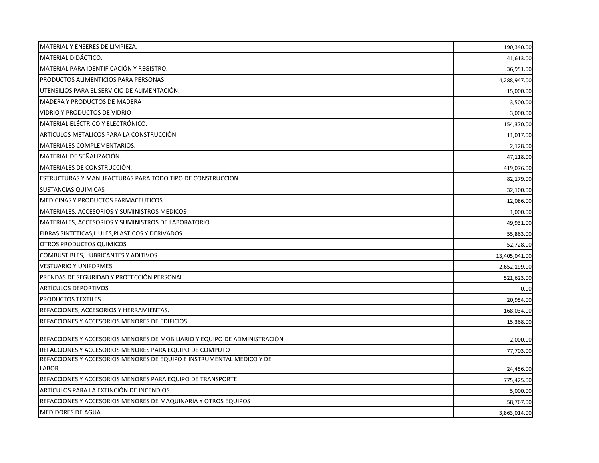| MATERIAL Y ENSERES DE LIMPIEZA.                                           | 190,340.00    |
|---------------------------------------------------------------------------|---------------|
| MATERIAL DIDÁCTICO.                                                       | 41,613.00     |
| MATERIAL PARA IDENTIFICACIÓN Y REGISTRO.                                  | 36,951.00     |
| PRODUCTOS ALIMENTICIOS PARA PERSONAS                                      | 4,288,947.00  |
| UTENSILIOS PARA EL SERVICIO DE ALIMENTACIÓN.                              | 15,000.00     |
| <b>MADERA Y PRODUCTOS DE MADERA</b>                                       | 3,500.00      |
| VIDRIO Y PRODUCTOS DE VIDRIO                                              | 3,000.00      |
| MATERIAL ELÉCTRICO Y ELECTRÓNICO.                                         | 154,370.00    |
| ARTÍCULOS METÁLICOS PARA LA CONSTRUCCIÓN.                                 | 11,017.00     |
| <b>MATERIALES COMPLEMENTARIOS.</b>                                        | 2,128.00      |
| MATERIAL DE SEÑALIZACIÓN.                                                 | 47,118.00     |
| MATERIALES DE CONSTRUCCIÓN.                                               | 419,076.00    |
| ESTRUCTURAS Y MANUFACTURAS PARA TODO TIPO DE CONSTRUCCIÓN.                | 82,179.00     |
| <b>SUSTANCIAS QUIMICAS</b>                                                | 32,100.00     |
| MEDICINAS Y PRODUCTOS FARMACEUTICOS                                       | 12,086.00     |
| MATERIALES, ACCESORIOS Y SUMINISTROS MEDICOS                              | 1,000.00      |
| MATERIALES, ACCESORIOS Y SUMINISTROS DE LABORATORIO                       | 49,931.00     |
| FIBRAS SINTETICAS, HULES, PLASTICOS Y DERIVADOS                           | 55,863.00     |
| <b>OTROS PRODUCTOS QUIMICOS</b>                                           | 52,728.00     |
| COMBUSTIBLES, LUBRICANTES Y ADITIVOS.                                     | 13,405,041.00 |
| <b>VESTUARIO Y UNIFORMES.</b>                                             | 2,652,199.00  |
| PRENDAS DE SEGURIDAD Y PROTECCIÓN PERSONAL.                               | 521,623.00    |
| <b>ARTICULOS DEPORTIVOS</b>                                               | 0.00          |
| <b>PRODUCTOS TEXTILES</b>                                                 | 20,954.00     |
| REFACCIONES, ACCESORIOS Y HERRAMIENTAS.                                   | 168,034.00    |
| REFACCIONES Y ACCESORIOS MENORES DE EDIFICIOS.                            | 15,368.00     |
| REFACCIONES Y ACCESORIOS MENORES DE MOBILIARIO Y EQUIPO DE ADMINISTRACIÓN | 2,000.00      |
| REFACCIONES Y ACCESORIOS MENORES PARA EQUIPO DE COMPUTO                   | 77,703.00     |
| REFACCIONES Y ACCESORIOS MENORES DE EQUIPO E INSTRUMENTAL MEDICO Y DE     |               |
| <b>LABOR</b>                                                              | 24,456.00     |
| REFACCIONES Y ACCESORIOS MENORES PARA EQUIPO DE TRANSPORTE.               | 775,425.00    |
| ARTÍCULOS PARA LA EXTINCIÓN DE INCENDIOS.                                 | 5,000.00      |
| REFACCIONES Y ACCESORIOS MENORES DE MAQUINARIA Y OTROS EQUIPOS            | 58,767.00     |
| <b>MEDIDORES DE AGUA.</b>                                                 | 3,863,014.00  |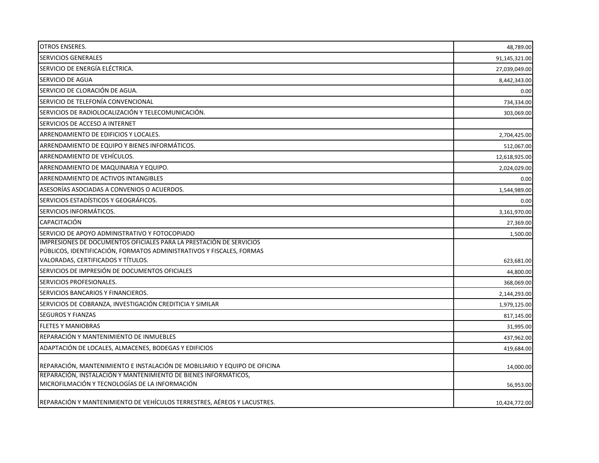| <b>OTROS ENSERES.</b>                                                                                             | 48,789.00     |
|-------------------------------------------------------------------------------------------------------------------|---------------|
| SERVICIOS GENERALES                                                                                               | 91,145,321.00 |
| SERVICIO DE ENERGÍA ELÉCTRICA.                                                                                    | 27,039,049.00 |
| SERVICIO DE AGUA                                                                                                  | 8,442,343.00  |
| SERVICIO DE CLORACIÓN DE AGUA.                                                                                    | 0.00          |
| SERVICIO DE TELEFONÍA CONVENCIONAL                                                                                | 734,334.00    |
| SERVICIOS DE RADIOLOCALIZACIÓN Y TELECOMUNICACIÓN.                                                                | 303,069.00    |
| SERVICIOS DE ACCESO A INTERNET                                                                                    |               |
| ARRENDAMIENTO DE EDIFICIOS Y LOCALES.                                                                             | 2,704,425.00  |
| ARRENDAMIENTO DE EQUIPO Y BIENES INFORMÁTICOS.                                                                    | 512,067.00    |
| ARRENDAMIENTO DE VEHÍCULOS.                                                                                       | 12,618,925.00 |
| ARRENDAMIENTO DE MAQUINARIA Y EQUIPO.                                                                             | 2,024,029.00  |
| ARRENDAMIENTO DE ACTIVOS INTANGIBLES                                                                              | 0.00          |
| ASESORÍAS ASOCIADAS A CONVENIOS O ACUERDOS.                                                                       | 1,544,989.00  |
| SERVICIOS ESTADÍSTICOS Y GEOGRÁFICOS.                                                                             | 0.00          |
| SERVICIOS INFORMÁTICOS.                                                                                           | 3,161,970.00  |
| CAPACITACIÓN                                                                                                      | 27,369.00     |
| SERVICIO DE APOYO ADMINISTRATIVO Y FOTOCOPIADO                                                                    | 1,500.00      |
| IMPRESIONES DE DOCUMENTOS OFICIALES PARA LA PRESTACIÓN DE SERVICIOS                                               |               |
| PÚBLICOS, IDENTIFICACIÓN, FORMATOS ADMINISTRATIVOS Y FISCALES, FORMAS                                             |               |
| VALORADAS, CERTIFICADOS Y TÍTULOS.                                                                                | 623,681.00    |
| SERVICIOS DE IMPRESIÓN DE DOCUMENTOS OFICIALES                                                                    | 44,800.00     |
| SERVICIOS PROFESIONALES.                                                                                          | 368,069.00    |
| SERVICIOS BANCARIOS Y FINANCIEROS.                                                                                | 2,144,293.00  |
| SERVICIOS DE COBRANZA, INVESTIGACIÓN CREDITICIA Y SIMILAR                                                         | 1,979,125.00  |
| <b>SEGUROS Y FIANZAS</b>                                                                                          | 817,145.00    |
| <b>FLETES Y MANIOBRAS</b>                                                                                         | 31,995.00     |
| REPARACIÓN Y MANTENIMIENTO DE INMUEBLES                                                                           | 437,962.00    |
| ADAPTACIÓN DE LOCALES, ALMACENES, BODEGAS Y EDIFICIOS                                                             | 419.684.00    |
| REPARACIÓN, MANTENIMIENTO E INSTALACIÓN DE MOBILIARIO Y EQUIPO DE OFICINA                                         | 14,000.00     |
| REPARACIÓN, INSTALACIÓN Y MANTENIMIENTO DE BIENES INFORMÁTICOS,<br>MICROFILMACIÓN Y TECNOLOGÍAS DE LA INFORMACIÓN |               |
|                                                                                                                   | 56,953.00     |
| REPARACIÓN Y MANTENIMIENTO DE VEHÍCULOS TERRESTRES, AÉREOS Y LACUSTRES.                                           | 10,424,772.00 |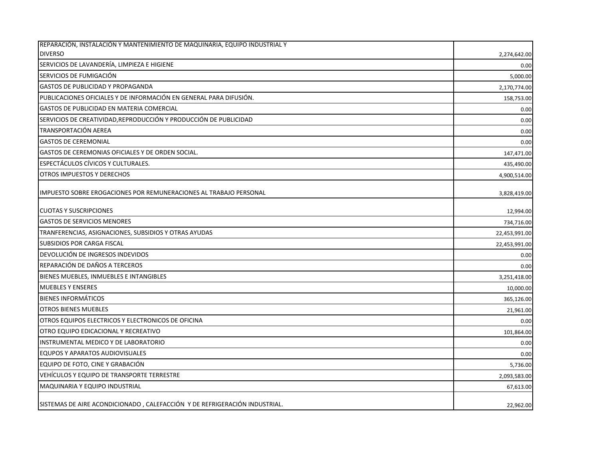| REPARACIÓN, INSTALACIÓN Y MANTENIMIENTO DE MAQUINARIA, EQUIPO INDUSTRIAL Y |               |
|----------------------------------------------------------------------------|---------------|
| <b>DIVERSO</b>                                                             | 2,274,642.00  |
| SERVICIOS DE LAVANDERÍA, LIMPIEZA E HIGIENE                                | 0.00          |
| SERVICIOS DE FUMIGACIÓN                                                    | 5,000.00      |
| <b>GASTOS DE PUBLICIDAD Y PROPAGANDA</b>                                   | 2,170,774.00  |
| PUBLICACIONES OFICIALES Y DE INFORMACIÓN EN GENERAL PARA DIFUSIÓN.         | 158,753.00    |
| GASTOS DE PUBLICIDAD EN MATERIA COMERCIAL                                  | 0.00          |
| SERVICIOS DE CREATIVIDAD, REPRODUCCIÓN Y PRODUCCIÓN DE PUBLICIDAD          | 0.00          |
| TRANSPORTACIÓN AEREA                                                       | 0.00          |
| <b>GASTOS DE CEREMONIAL</b>                                                | 0.00          |
| GASTOS DE CEREMONIAS OFICIALES Y DE ORDEN SOCIAL.                          | 147,471.00    |
| ESPECTÁCULOS CÍVICOS Y CULTURALES.                                         | 435,490.00    |
| OTROS IMPUESTOS Y DERECHOS                                                 | 4,900,514.00  |
| IMPUESTO SOBRE EROGACIONES POR REMUNERACIONES AL TRABAJO PERSONAL          | 3,828,419.00  |
| <b>CUOTAS Y SUSCRIPCIONES</b>                                              | 12,994.00     |
| <b>GASTOS DE SERVICIOS MENORES</b>                                         | 734,716.00    |
| TRANFERENCIAS, ASIGNACIONES, SUBSIDIOS Y OTRAS AYUDAS                      | 22,453,991.00 |
| <b>SUBSIDIOS POR CARGA FISCAL</b>                                          | 22,453,991.00 |
| DEVOLUCIÓN DE INGRESOS INDEVIDOS                                           | 0.00          |
| REPARACIÓN DE DAÑOS A TERCEROS                                             | 0.00          |
| BIENES MUEBLES, INMUEBLES E INTANGIBLES                                    | 3,251,418.00  |
| <b>MUEBLES Y ENSERES</b>                                                   | 10,000.00     |
| <b>BIENES INFORMÁTICOS</b>                                                 | 365,126.00    |
| <b>OTROS BIENES MUEBLES</b>                                                | 21,961.00     |
| OTROS EQUIPOS ELECTRICOS Y ELECTRONICOS DE OFICINA                         | 0.00          |
| OTRO EQUIPO EDICACIONAL Y RECREATIVO                                       | 101,864.00    |
| INSTRUMENTAL MEDICO Y DE LABORATORIO                                       | 0.00          |
| EQUPOS Y APARATOS AUDIOVISUALES                                            | 0.00          |
| EQUIPO DE FOTO, CINE Y GRABACIÓN                                           | 5,736.00      |
| VEHÍCULOS Y EQUIPO DE TRANSPORTE TERRESTRE                                 | 2,093,583.00  |
| MAQUINARIA Y EQUIPO INDUSTRIAL                                             | 67,613.00     |
| SISTEMAS DE AIRE ACONDICIONADO, CALEFACCIÓN Y DE REFRIGERACIÓN INDUSTRIAL. | 22,962.00     |